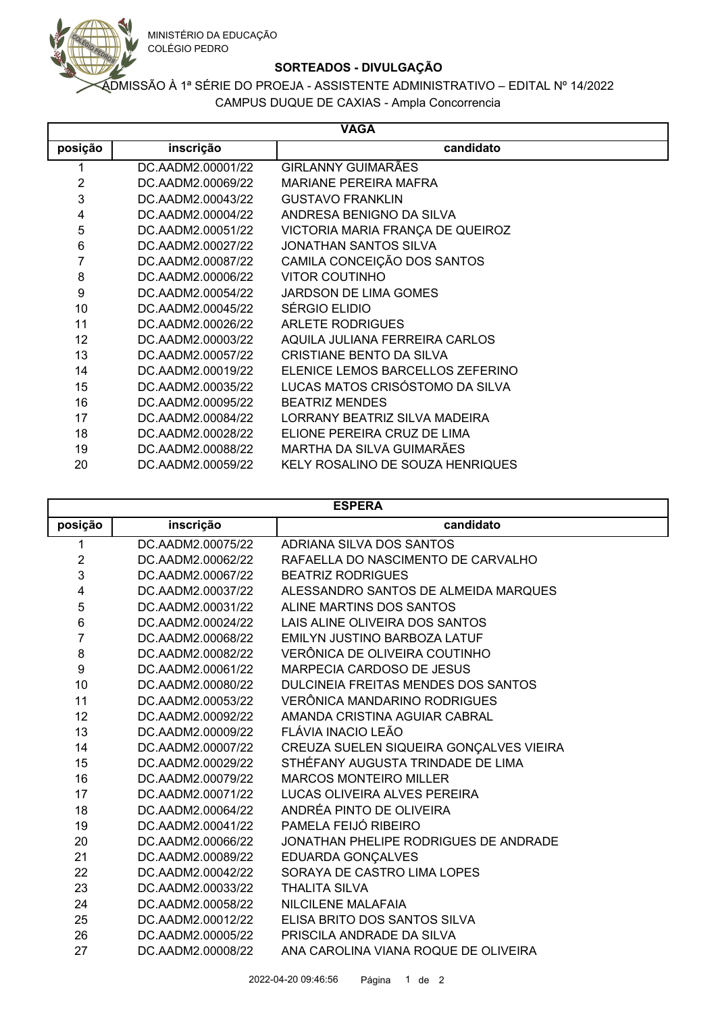

## **SORTEADOS - DIVULGAÇÃO**

## CAMPUS DUQUE DE CAXIAS - Ampla Concorrencia ADMISSÃO À 1ª SÉRIE DO PROEJA - ASSISTENTE ADMINISTRATIVO – EDITAL Nº 14/2022

| <b>VAGA</b> |                   |                                  |  |  |
|-------------|-------------------|----------------------------------|--|--|
| posição     | inscrição         | candidato                        |  |  |
| 1           | DC.AADM2.00001/22 | GIRLANNY GUIMARÃES               |  |  |
| 2           | DC.AADM2.00069/22 | <b>MARIANE PEREIRA MAFRA</b>     |  |  |
| 3           | DC.AADM2.00043/22 | <b>GUSTAVO FRANKLIN</b>          |  |  |
| 4           | DC.AADM2.00004/22 | ANDRESA BENIGNO DA SILVA         |  |  |
| 5           | DC.AADM2.00051/22 | VICTORIA MARIA FRANÇA DE QUEIROZ |  |  |
| 6           | DC.AADM2.00027/22 | JONATHAN SANTOS SILVA            |  |  |
| 7           | DC.AADM2.00087/22 | CAMILA CONCEIÇÃO DOS SANTOS      |  |  |
| 8           | DC.AADM2.00006/22 | <b>VITOR COUTINHO</b>            |  |  |
| 9           | DC.AADM2.00054/22 | JARDSON DE LIMA GOMES            |  |  |
| 10          | DC.AADM2.00045/22 | SÉRGIO ELIDIO                    |  |  |
| 11          | DC.AADM2.00026/22 | <b>ARLETE RODRIGUES</b>          |  |  |
| 12          | DC.AADM2.00003/22 | AQUILA JULIANA FERREIRA CARLOS   |  |  |
| 13          | DC.AADM2.00057/22 | CRISTIANE BENTO DA SILVA         |  |  |
| 14          | DC.AADM2.00019/22 | ELENICE LEMOS BARCELLOS ZEFERINO |  |  |
| 15          | DC.AADM2.00035/22 | LUCAS MATOS CRISÓSTOMO DA SILVA  |  |  |
| 16          | DC.AADM2.00095/22 | <b>BEATRIZ MENDES</b>            |  |  |
| 17          | DC.AADM2.00084/22 | LORRANY BEATRIZ SILVA MADEIRA    |  |  |
| 18          | DC.AADM2.00028/22 | ELIONE PEREIRA CRUZ DE LIMA      |  |  |
| 19          | DC.AADM2.00088/22 | MARTHA DA SILVA GUIMARÃES        |  |  |
| 20          | DC.AADM2.00059/22 | KELY ROSALINO DE SOUZA HENRIQUES |  |  |

| <b>ESPERA</b>    |                   |                                         |  |  |
|------------------|-------------------|-----------------------------------------|--|--|
| posição          | inscrição         | candidato                               |  |  |
| 1                | DC.AADM2.00075/22 | ADRIANA SILVA DOS SANTOS                |  |  |
| $\boldsymbol{2}$ | DC.AADM2.00062/22 | RAFAELLA DO NASCIMENTO DE CARVALHO      |  |  |
| 3                | DC.AADM2.00067/22 | <b>BEATRIZ RODRIGUES</b>                |  |  |
| 4                | DC.AADM2.00037/22 | ALESSANDRO SANTOS DE ALMEIDA MARQUES    |  |  |
| 5                | DC.AADM2.00031/22 | ALINE MARTINS DOS SANTOS                |  |  |
| 6                | DC.AADM2.00024/22 | LAIS ALINE OLIVEIRA DOS SANTOS          |  |  |
| 7                | DC.AADM2.00068/22 | <b>EMILYN JUSTINO BARBOZA LATUF</b>     |  |  |
| 8                | DC.AADM2.00082/22 | VERÔNICA DE OLIVEIRA COUTINHO           |  |  |
| 9                | DC.AADM2.00061/22 | <b>MARPECIA CARDOSO DE JESUS</b>        |  |  |
| 10               | DC.AADM2.00080/22 | DULCINEIA FREITAS MENDES DOS SANTOS     |  |  |
| 11               | DC.AADM2.00053/22 | VERÔNICA MANDARINO RODRIGUES            |  |  |
| 12               | DC.AADM2.00092/22 | AMANDA CRISTINA AGUIAR CABRAL           |  |  |
| 13               | DC.AADM2.00009/22 | FLÁVIA INACIO LEÃO                      |  |  |
| 14               | DC.AADM2.00007/22 | CREUZA SUELEN SIQUEIRA GONÇALVES VIEIRA |  |  |
| 15               | DC.AADM2.00029/22 | STHÉFANY AUGUSTA TRINDADE DE LIMA       |  |  |
| 16               | DC.AADM2.00079/22 | <b>MARCOS MONTEIRO MILLER</b>           |  |  |
| 17               | DC.AADM2.00071/22 | LUCAS OLIVEIRA ALVES PEREIRA            |  |  |
| 18               | DC.AADM2.00064/22 | ANDRÉA PINTO DE OLIVEIRA                |  |  |
| 19               | DC.AADM2.00041/22 | PAMELA FEIJÓ RIBEIRO                    |  |  |
| 20               | DC.AADM2.00066/22 | JONATHAN PHELIPE RODRIGUES DE ANDRADE   |  |  |
| 21               | DC.AADM2.00089/22 | EDUARDA GONÇALVES                       |  |  |
| 22               | DC.AADM2.00042/22 | SORAYA DE CASTRO LIMA LOPES             |  |  |
| 23               | DC.AADM2.00033/22 | <b>THALITA SILVA</b>                    |  |  |
| 24               | DC.AADM2.00058/22 | <b>NILCILENE MALAFAIA</b>               |  |  |
| 25               | DC.AADM2.00012/22 | ELISA BRITO DOS SANTOS SILVA            |  |  |
| 26               | DC.AADM2.00005/22 | PRISCILA ANDRADE DA SILVA               |  |  |
| 27               | DC.AADM2.00008/22 | ANA CAROLINA VIANA ROQUE DE OLIVEIRA    |  |  |